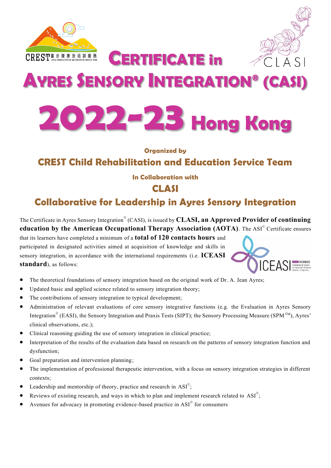



# **AYRES SENSORY INTEGRATION® (CASI)**

**CERTIFICATE in** 



#### **Organized by**

# **CREST Child Rehabilitation and Education Service Team**

#### **In Collaboration with**

### **CLASI**

# **Collaborative for Leadership in Ayres Sensory Integration**

The Certificate in Ayres Sensory Integration® (CASI), is issued by **CLASI, an Approved Provider of continuing education by the American Occupational Therapy Association (AOTA)**. The ASI<sup>®</sup> Certificate ensures

that its learners have completed a minimum of a **total of 120 contacts hours** and participated in designated activities aimed at acquisition of knowledge and skills in sensory integration, in accordance with the international requirements (i.e. **ICEASI standard**), as follows:



- The theoretical foundations of sensory integration based on the original work of Dr. A. Jean Ayres;
- Updated basic and applied science related to sensory integration theory;
- The contributions of sensory integration to typical development;
- Administration of relevant evaluations of core sensory integrative functions (e.g. the Evaluation in Ayres Sensory Integration<sup>®</sup> (EASI), the Sensory Integration and Praxis Tests (SIPT); the Sensory Processing Measure (SPM<sup>™)</sup>, Ayres' clinical observations, etc.);
- Clinical reasoning guiding the use of sensory integration in clinical practice;
- Interpretation of the results of the evaluation data based on research on the patterns of sensory integration function and dysfunction;
- Goal preparation and intervention planning;
- The implementation of professional therapeutic intervention, with a focus on sensory integration strategies in different contexts;
- Leadership and mentorship of theory, practice and research in  $ASI^{\circ}$ ;
- Reviews of existing research, and ways in which to plan and implement research related to  $ASI^{\circ}$ ;
- Avenues for advocacy in promoting evidence-based practice in  $ASI^{\circ}$  for consumers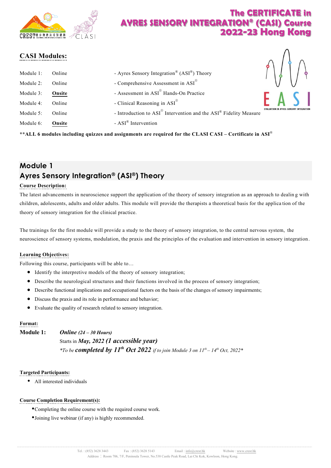

### **CASI Modules:**

| Module 1:<br>Module 2: | Online<br>Online | - Ayres Sensory Integration® (ASI®) Theory<br>- Comprehensive Assessment in $ASI^{\circledR}$ |  | $\big\backslash\big\}$ |
|------------------------|------------------|-----------------------------------------------------------------------------------------------|--|------------------------|
| Module 3:              | Onsite           | - Assessment in ASI <sup>®</sup> Hands-On Practice                                            |  |                        |
| Module 4:              | Online           | - Clinical Reasoning in $ASI^{\circledR}$                                                     |  |                        |
| Module 5:              | Online           | - Introduction to ASI® Intervention and the ASI® Fidelity Measure                             |  |                        |
| Module 6:              | Onsite           | - ASI <sup>®</sup> Intervention                                                               |  |                        |

**\*\*ALL 6 modules including quizzes and assignments are required for the CLASI CASI – Certificate in ASI**®

# **Module 1 Ayres Sensory Integration® (ASI®) Theory**

#### **Course Description:**

The latest advancements in neuroscience support the application of the theory of sensory integration as an approach to dealing with children, adolescents, adults and older adults. This module will provide the therapists a theoretical basis for the application of the theory of sensory integration for the clinical practice.

The trainings for the first module will provide a study to the theory of sensory integration, to the central nervous system, the neuroscience of sensory systems, modulation, the praxis and the principles of the evaluation and intervention in sensory integration.

#### **Learning Objectives:**

Following this course, participants will be able to…

- Identify the interpretive models of the theory of sensory integration;
- Describe the neurological structures and their functions involved in the process of sensory integration;
- Describe functional implications and occupational factors on the basis of the changes of sensory impairments;
- Discuss the praxis and its role in performance and behavior;
- Evaluate the quality of research related to sensory integration.

#### **Format:**

**Module 1:** *Online (24 –30 Hours)* Starts in *May, 2022 (1 accessible year) \*To be completed by 11th Oct 2022if tojoin Module 3 on 11th –14th Oct, 2022\**

#### **Targeted Participants:**

All interested individuals

#### **Course Completion Requirement(s):**

- Completing the online course with the required course work.
- Joining live webinar (if any) is highly recommended.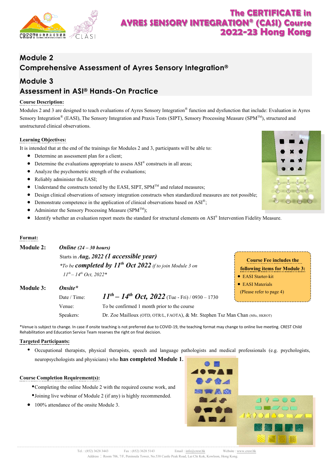

# **Module 2 Comprehensive Assessment of Ayres Sensory Integration®**

### **Module 3**

### **Assessment in ASI® Hands-On Practice**

#### **Course Description:**

Modules 2 and 3 are designed to teach evaluations of Ayres Sensory Integration<sup>®</sup> function and dysfunction that include: Evaluation in Ayres Sensory Integration® (EASI), The Sensory Integration and Praxis Tests (SIPT), Sensory Processing Measure (SPM™), structured and unstructured clinical observations.

#### **Learning Objectives:**

It is intended that at the end of the trainings for Modules2 and 3, participants will be able to:

- Determine an assessment plan for a client:
- Determine the evaluations appropriate to assess ASI® constructs in all areas;
- Analyze the psychometric strength of the evaluations;
- Reliably administer the EASI;
- $\bullet$  Understand the constructs tested by the EASI, SIPT, SPM<sup>TM</sup> and related measures;
- Design clinical observations of sensory integration constructs when standardized measures are not possible;
- Demonstrate competence in the application of clinical observations based on  $ASI^{\circledast}$ ;
- Administer the Sensory Processing Measure (SPM<sup>TM</sup>);
- Identify whether an evaluation report meets the standard for structural elements on ASI® Intervention Fidelity Measure.

#### **Format:**

| Module 2: | Online $(24 – 30 hours)$                                                                                              |                                                         |                                                                 |
|-----------|-----------------------------------------------------------------------------------------------------------------------|---------------------------------------------------------|-----------------------------------------------------------------|
| Module 3: | Starts in Aug, 2022 (1 accessible year)<br>*To be <b>completed by 11<sup>th</sup> Oct 2022</b> if to join Module 3 on |                                                         | <b>Course Fee includes the</b><br>following items for Module 3: |
|           | $11^{th} - 14^{th}$ Oct, 2022*                                                                                        |                                                         | • EASI Starter-kit                                              |
|           | Onsite*                                                                                                               |                                                         | • EASI Materials<br>(Please refer to page 4)                    |
|           | Date / Time:                                                                                                          | $11^{th} - 14^{th}$ Oct, 2022 (Tue - Fri) / 0930 – 1730 |                                                                 |
|           | Venue:                                                                                                                | To be confirmed 1 month prior to the course             |                                                                 |

Speakers: Dr. Zoe Mailloux (OTD, OTR/L, FAOTA), & Mr. Stephen Tsz Man Chan (MSc, HKROT)

\*Venue is subject to change. In case if onsite teaching is not preferred due to COVID-19, the teaching format may change to online live meeting. CREST Child Rehabilitation and Education Service Team reserves the right on final decision.

#### **Targeted Participants:**

 Occupational therapists, physical therapists, speech and language pathologists and medical professionals (e.g. psychologists, neuropsychologists and physicians) who **has completed Module 1.**

#### **Course Completion Requirement(s):**

- Completing the online Module 2 with the required course work, and
- Joining live webinar of Module 2 (if any) is highly recommended.
- 100% attendance of the onsite Module 3.





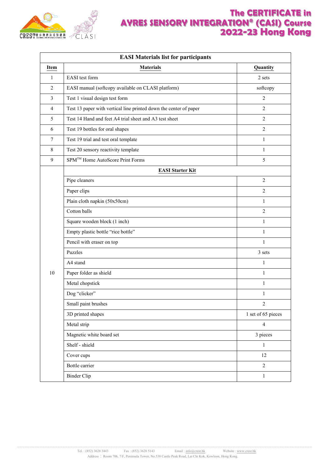

| <b>EASI Materials list for participants</b> |                                                                   |                    |  |  |  |
|---------------------------------------------|-------------------------------------------------------------------|--------------------|--|--|--|
| Item                                        | <b>Materials</b>                                                  | Quantity           |  |  |  |
| 1                                           | EASI test form                                                    | 2 sets             |  |  |  |
| $\overline{2}$                              | EASI manual (softcopy available on CLASI platform)                | softcopy           |  |  |  |
| 3                                           | Test 1 visual design test form                                    | $\overline{2}$     |  |  |  |
| 4                                           | Test 13 paper with vertical line printed down the center of paper | 2                  |  |  |  |
| 5                                           | Test 14 Hand and feet A4 trial sheet and A3 test sheet            | 2                  |  |  |  |
| 6                                           | Test 19 bottles for oral shapes                                   | 2                  |  |  |  |
| $\tau$                                      | Test 19 trial and test oral template                              | $\mathbf{1}$       |  |  |  |
| 8                                           | Test 20 sensory reactivity template                               | $\mathbf{1}$       |  |  |  |
| 9                                           | SPM <sup>™</sup> Home AutoScore Print Forms                       | 5                  |  |  |  |
|                                             | <b>EASI Starter Kit</b>                                           |                    |  |  |  |
|                                             | Pipe cleaners                                                     | $\overline{2}$     |  |  |  |
|                                             | Paper clips                                                       | $\overline{2}$     |  |  |  |
|                                             | Plain cloth napkin (50x50cm)                                      | $\mathbf{1}$       |  |  |  |
|                                             | Cotton balls                                                      | 2                  |  |  |  |
|                                             | Square wooden block (1 inch)                                      | $\mathbf{1}$       |  |  |  |
|                                             | Empty plastic bottle "rice bottle"                                | $\mathbf{1}$       |  |  |  |
|                                             | Pencil with eraser on top                                         | 1                  |  |  |  |
|                                             | Puzzles                                                           | 3 sets             |  |  |  |
|                                             | A4 stand                                                          | $\mathbf{1}$       |  |  |  |
| 10                                          | Paper folder as shield                                            | $\mathbf{1}$       |  |  |  |
|                                             | Metal chopstick                                                   | $\mathbf{1}$       |  |  |  |
|                                             | Dog "clicker"                                                     | $\mathbf{1}$       |  |  |  |
|                                             | Small paint brushes                                               | 2                  |  |  |  |
|                                             | 3D printed shapes                                                 | 1 set of 65 pieces |  |  |  |
|                                             | Metal strip                                                       | $\overline{4}$     |  |  |  |
|                                             | Magnetic white board set                                          | 3 pieces           |  |  |  |
|                                             | Shelf - shield                                                    | $\mathbf{1}$       |  |  |  |
|                                             | Cover cups                                                        | 12                 |  |  |  |
|                                             | Bottle carrier                                                    | $\overline{2}$     |  |  |  |
|                                             | <b>Binder Clip</b>                                                | $\mathbf{1}$       |  |  |  |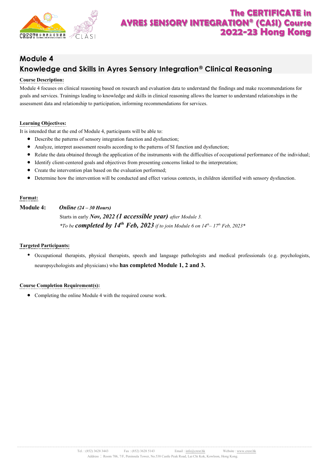

# **Module 4 Knowledge and Skills in Ayres Sensory Integration® Clinical Reasoning**

#### **Course Description:**

Module 4 focuses on clinical reasoning based on research and evaluation data to understand the findings and make recommendations for goals and services. Trainings leading to knowledge and skills in clinical reasoning allows the learner to understand relationships in the assessment data and relationship to participation, informing recommendations for services.

#### **Learning Objectives:**

It is intended that at the end of Module 4, participants will be able to:

- Describe the patterns of sensory integration function and dysfunction;
- Analyze, interpret assessment results according to the patterns of SI function and dysfunction;
- Relate the data obtained through the application of the instruments with the difficulties of occupational performance of the individual;
- Identify client-centered goals and objectives from presenting concerns linked to the interpretation;
- Create the intervention plan based on the evaluation performed;
- Determine how the intervention will be conducted and effect various contexts, in children identified with sensory dysfunction.

#### **Format:**

**Module 4:** *Online(24 –30 Hours)*

Starts in early *Nov, 2022 (1 accessible year) after Module 3. \*To be completed by 14 th Feb, 2023if to join Module 6on 14 th –17 th Feb, 2023\**

#### **Targeted Participants:**

 Occupational therapists, physical therapists, speech and language pathologists and medical professionals (e.g. psychologists, neuropsychologists and physicians) who **has completed Module 1, 2 and 3.**

#### **Course Completion Requirement(s):**

• Completing the online Module 4 with the required course work.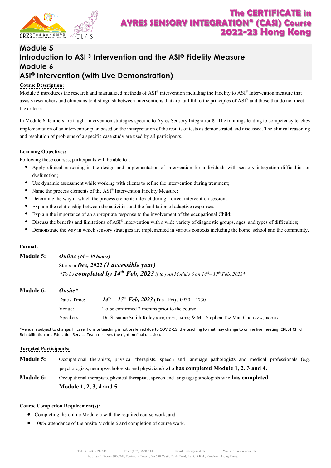

### **Module 5 Introduction to ASI ® Intervention and the ASI® Fidelity Measure Module 6 ASI® Intervention (with Live Demonstration)**

#### **Course Description:**

Module 5 introduces the research and manualized methods of ASI<sup>®</sup> intervention including the Fidelity to ASI<sup>®</sup> Intervention measure that assists researchers and clinicians to distinguish between interventions that are faithful to the principles of ASI® and those that do not meet the criteria.

In Module 6, learners are taught intervention strategies specific to Ayres Sensory Integration®. The trainings leading to competency teaches implementation of an intervention plan based on the interpretation of the results of tests as demonstrated and discussed. The clinical reasoning and resolution of problems of a specific case study are used by all participants.

#### **Learning Objectives:**

Following these courses, participants will be able to…

- Apply clinical reasoning in the design and implementation of intervention for individuals with sensory integration difficulties or dysfunction;
- Use dynamic assessment while working with clients to refine the intervention during treatment;
- Name the process elements of the ASI® Intervention Fidelity Measure;
- Determine the way in which the process elements interact during a direct intervention session;
- Explain the relationship between the activities and the facilitation of adaptive responses;
- Explain the importance of an appropriate response to the involvement of the occupational Child;
- Discuss the benefits and limitations of ASI® intervention with a wide variety of diagnostic groups, ages, and types of difficulties;
- Demonstrate the way in which sensory strategies are implemented in various contexts including the home, school and the community.

#### **Format:**

| Module 5: | <b>Online</b> $(24 – 30 hours)$                                                                                    |
|-----------|--------------------------------------------------------------------------------------------------------------------|
|           | Starts in Dec, $2022$ (1 accessible year)                                                                          |
|           | *To be <b>completed by 14<sup>th</sup> Feb, 2023</b> if to join Module 6 on $14^{th}$ –17 <sup>th</sup> Feb, 2023* |

### **Module 6:** *Onsite\**

| Date / Time: | $14^{th} - 17^{th}$ Feb, 2023 (Tue - Fri) / 0930 – 1730                             |
|--------------|-------------------------------------------------------------------------------------|
| Venue:       | To be confirmed 2 months prior to the course                                        |
| Speakers:    | Dr. Susanne Smith Roley (OTD, OTR/L, FAOTA) & Mr. Stephen Tsz Man Chan (MSc, HKROT) |

\*Venue is subject to change. In case if onsite teaching is not preferred due to COVID-19, the teaching format may change to online live meeting. CREST Child Rehabilitation and Education Service Team reserves the right on final decision.

#### **Targeted Participants:**

- **Module 5:** Occupational therapists, physical therapists, speech and language pathologists and medical professionals (e.g. psychologists, neuropsychologists and physicians) who **has completed Module 1, 2, 3 and 4.**
- **Module 6:** Occupational therapists, physical therapists, speech and language pathologists who **has completed Module 1, 2,3, 4 and 5.**

#### **Course Completion Requirement(s):**

- Completing the online Module 5 with the required course work, and
- 100% attendance of the onsite Module 6 and completion of course work.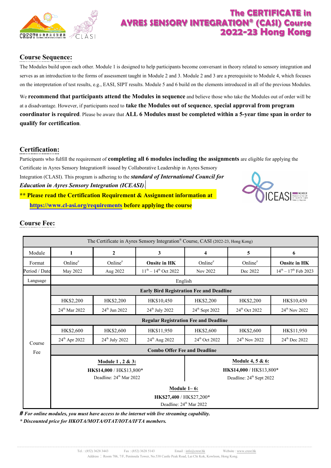

### **Course Sequence:**

The Modules build upon each other. Module 1 is designed to help participants become conversant in theory related to sensory integration and serves as an introduction to the forms of assessment taught in Module2 and 3. Module2 and 3 are aprerequisite to Module4, which focuses on the interpretation of test results, e.g., EASI, SIPT results. Module5 and 6 build on the elements introduced in all of the previous Modules.

We **recommend that participants attend the Modules in sequence**and believe those who take the Modules out of order will be at a disadvantage. However, if participants need to **take the Modules out of sequence**, **special approval from program coordinator is required**. Please be aware that **ALL 6 Modules must be completed within a 5-year time span in order to qualify for certification**.

### **Certification:**

Participants who fulfill the requirement of **completing all 6 modules including the assignments** are eligible for applying the

Certificate in Ayres Sensory Integration® issued by Collaborative Leadership in Ayres Sensory Integration (CLASI). This program is adhering to the *standardof International Council for* 

*Education in Ayres Sensory Integration (ICEASI)*.

**\*\* Please read the Certification Requirement & Assignment information at <https://www.cl-asi.org/requirements> before applying the course**



### **Course Fee:**

| The Certificate in Ayres Sensory Integration® Course, CASI (2022-23, Hong Kong) |                                                                             |                            |                                                 |                            |                           |                              |  |  |
|---------------------------------------------------------------------------------|-----------------------------------------------------------------------------|----------------------------|-------------------------------------------------|----------------------------|---------------------------|------------------------------|--|--|
| Module                                                                          | 1                                                                           | $\overline{2}$             | 3                                               | $\overline{\bf{4}}$        | 5                         | 6                            |  |  |
| Format                                                                          | Online <sup>#</sup>                                                         | Online <sup>#</sup>        | <b>Onsite in HK</b>                             | Online <sup>#</sup>        | Online <sup>#</sup>       | <b>Onsite in HK</b>          |  |  |
| Period / Date                                                                   | May 2022                                                                    | Aug 2022                   | $11^{th} - 14^{th}$ Oct 2022                    | Nov 2022                   | Dec 2022                  | $14^{th} - 17^{th}$ Feb 2023 |  |  |
| Language                                                                        | English                                                                     |                            |                                                 |                            |                           |                              |  |  |
|                                                                                 |                                                                             |                            | <b>Early Bird Registration Fee and Deadline</b> |                            |                           |                              |  |  |
|                                                                                 | HK\$2,200                                                                   | HK\$2,200                  | HK\$10,450                                      | HK\$2,200                  | HK\$2,200                 | HK\$10,450                   |  |  |
|                                                                                 | 24 <sup>th</sup> Mar 2022                                                   | $24^{th}$ Jun 2022         | 24 <sup>th</sup> July 2022                      | 24 <sup>th</sup> Sept 2022 | 24th Oct 2022             | 24 <sup>th</sup> Nov 2022    |  |  |
|                                                                                 | <b>Regular Registration Fee and Deadline</b>                                |                            |                                                 |                            |                           |                              |  |  |
|                                                                                 | HK\$2,600                                                                   | HK\$2,600                  | HK\$11,950                                      | HK\$2,600                  | HK\$2,600                 | HK\$11,950                   |  |  |
| Course                                                                          | 24 <sup>th</sup> Apr 2022                                                   | 24 <sup>th</sup> July 2022 | 24 <sup>th</sup> Aug 2022                       | 24 <sup>th</sup> Oct 2022  | 24 <sup>th</sup> Nov 2022 | 24 <sup>th</sup> Dec 2022    |  |  |
| Fee                                                                             | <b>Combo Offer Fee and Deadline</b>                                         |                            |                                                 |                            |                           |                              |  |  |
|                                                                                 |                                                                             | Module 1, 2 & 3:           |                                                 | Module 4, 5 & 6:           |                           |                              |  |  |
|                                                                                 | HK\$14,000 / HK\$13,800*<br>HK\$14,000 / HK\$13,800*                        |                            |                                                 |                            |                           |                              |  |  |
|                                                                                 | Deadline: 24 <sup>th</sup> Mar 2022<br>Deadline: 24 <sup>th</sup> Sept 2022 |                            |                                                 |                            |                           |                              |  |  |
|                                                                                 | Module $1-6$ :                                                              |                            |                                                 |                            |                           |                              |  |  |
|                                                                                 |                                                                             |                            | HK\$27,400 / HK\$27,200*                        |                            |                           |                              |  |  |
|                                                                                 |                                                                             |                            | Deadline: 24 <sup>th</sup> Mar 2022             |                            |                           |                              |  |  |

*# For online modules, you must have access to the internet with live streaming capability.*

*\* Discounted price for HKOTA/MOTA/OTAT/IOTA/IFTA members.*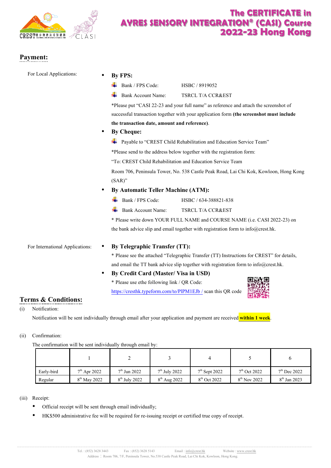

回復選挙

### **Payment:**

| For Local Applications:         | By FPS:                                                                                                                              |  |  |  |  |  |
|---------------------------------|--------------------------------------------------------------------------------------------------------------------------------------|--|--|--|--|--|
|                                 | Bank / FPS Code:<br>HSBC / 8919052                                                                                                   |  |  |  |  |  |
|                                 | <b>Bank Account Name:</b><br>TSRCL T/A CCR&EST                                                                                       |  |  |  |  |  |
|                                 | *Please put "CASI 22-23 and your full name" as reference and attach the screenshot of                                                |  |  |  |  |  |
|                                 | successful transaction together with your application form (the screenshot must include                                              |  |  |  |  |  |
|                                 | the transaction date, amount and reference).                                                                                         |  |  |  |  |  |
|                                 | <b>By Cheque:</b>                                                                                                                    |  |  |  |  |  |
|                                 | Payable to "CREST Child Rehabilitation and Education Service Team"                                                                   |  |  |  |  |  |
|                                 | *Please send to the address below together with the registration form:<br>"To: CREST Child Rehabilitation and Education Service Team |  |  |  |  |  |
|                                 |                                                                                                                                      |  |  |  |  |  |
|                                 | Room 706, Peninsula Tower, No. 538 Castle Peak Road, Lai Chi Kok, Kowloon, Hong Kong                                                 |  |  |  |  |  |
|                                 | $(SAR)$ "                                                                                                                            |  |  |  |  |  |
|                                 | <b>By Automatic Teller Machine (ATM):</b>                                                                                            |  |  |  |  |  |
|                                 | Bank / FPS Code:<br>HSBC / 634-388821-838                                                                                            |  |  |  |  |  |
|                                 | <b>Bank Account Name:</b><br>TSRCL T/A CCR&EST                                                                                       |  |  |  |  |  |
|                                 | * Please write down YOUR FULL NAME and COURSE NAME (i.e. CASI 2022-23) on                                                            |  |  |  |  |  |
|                                 | the bank advice slip and email together with registration form to info@crest.hk.                                                     |  |  |  |  |  |
| For International Applications: | By Telegraphic Transfer (TT):<br>$\bullet$                                                                                           |  |  |  |  |  |
|                                 | * Please see the attached "Telegraphic Transfer (TT) Instructions for CREST" for details,                                            |  |  |  |  |  |
|                                 | and email the TT bank advice slip together with registration form to info@crest.hk.                                                  |  |  |  |  |  |
|                                 | By Credit Card (Master/ Visa in USD)<br>٠                                                                                            |  |  |  |  |  |
|                                 | * Please use ethe following link / QR Code:                                                                                          |  |  |  |  |  |
|                                 | https://cresthk.typeform.com/to/PIPM1EJb / scan this QR code                                                                         |  |  |  |  |  |

#### **Terms & Conditions:**

(i) Notification:

Notification will be sent individually through email after your application and payment are received **within 1 week**.

#### (ii) Confirmation:

The confirmation will be sent individually through email by:

| Early-bird | $7th$ Apr 2022 | $7th$ Jun 2022  | $7th$ July 2022   | $7th$ Sept 2022 | $7th$ Oct 2022    | $7th$ Dec 2022 |
|------------|----------------|-----------------|-------------------|-----------------|-------------------|----------------|
| Regular    | $8th$ May 2022 | $8th$ July 2022 | $8^{th}$ Aug 2022 | $8th$ Oct 2022  | $8^{th}$ Nov 2022 | $8th$ Jan 2023 |

#### (iii) Receipt:

- Official receipt will be sent through email individually;
- HK\$500 administrative fee will be required for re-issuing receipt or certified true copy of receipt.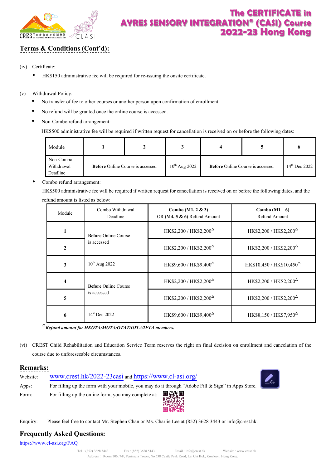

### **Terms & Conditions (Cont'd):**

- (iv) Certificate:
	- HK\$150 administrative fee will be required for re-issuing the onsite certificate.
- (v) Withdrawal Policy:
	- No transfer of fee to other courses or another person upon confirmation of enrollment.
	- No refund will be granted once the online course is accessed.
	- Non-Combo refund arrangement:

HK\$500 administrative fee will be required if written request for cancellation is received on or before the following dates:

| Module                              |                                         |  |                    |                                         |                           |
|-------------------------------------|-----------------------------------------|--|--------------------|-----------------------------------------|---------------------------|
| Non-Combo<br>Withdrawal<br>Deadline | <b>Before</b> Online Course is accessed |  | $10^{th}$ Aug 2022 | <b>Before</b> Online Course is accessed | $14^{\text{th}}$ Dec 2022 |

• Combo refund arrangement:

HK\$500 administrative fee will be required if written request for cancellation is received on or before the following dates, and the refund amount is listed as below:

| Module         | Combo Withdrawal<br>Deadline | Combo $(M1, 2 & 3)$<br>OR (M4, 5 & 6) Refund Amount     | Combo $(M1-6)$<br>Refund Amount                         |
|----------------|------------------------------|---------------------------------------------------------|---------------------------------------------------------|
|                | <b>Before Online Course</b>  | HK\$2,200 / HK\$2,200 <sup><math>\triangle</math></sup> | HK\$2,200 / HK\$2,200 <sup><math>\triangle</math></sup> |
| $\mathfrak{D}$ | is accessed                  | HK\$2,200 / HK\$2,200 <sup><math>\triangle</math></sup> | HK\$2,200 / HK\$2,200 <sup><math>\triangle</math></sup> |
| 3              | $10^{th}$ Aug 2022           | HK\$9,600 / HK\$9,400 <sup><math>\triangle</math></sup> | $HK$10,450 / HK$10,450^{\Delta}$                        |
|                | <b>Before Online Course</b>  | HK\$2,200 / HK\$2,200 <sup><math>\triangle</math></sup> | HK\$2,200 / HK\$2,200 <sup><math>\triangle</math></sup> |
| 5              | is accessed                  | HK\$2,200 / HK\$2,200 <sup><math>\triangle</math></sup> | HK\$2,200 / HK\$2,200 <sup><math>\triangle</math></sup> |
| 6              | $14^{\rm st}$ Dec 2022       | HK\$9,600 / HK\$9,400 <sup><math>\triangle</math></sup> | $HK$8,150 / HK$7,950^{\Delta}$                          |

△ *Refund amount for HKOTA/MOTA/OTAT/IOTA/IFTA members.*

(vi) CREST Child Rehabilitation and Education Service Team reserves the right on final decision on enrollment and cancelation of the course due to unforeseeable circumstances.

#### **Remarks:**

| Website: | www.crest.hk/2022-23casi and https://www.cl-asi.org/                                                                                                                                                                                                                                                                                                                                                                                                                                                                                                                            |  |
|----------|---------------------------------------------------------------------------------------------------------------------------------------------------------------------------------------------------------------------------------------------------------------------------------------------------------------------------------------------------------------------------------------------------------------------------------------------------------------------------------------------------------------------------------------------------------------------------------|--|
| Apps:    | For filling up the form with your mobile, you may do it through "Adobe Fill & Sign" in Apps Store.                                                                                                                                                                                                                                                                                                                                                                                                                                                                              |  |
| Form:    | For filling up the online form, you may complete at: $\begin{array}{ccc}\n\blacksquare & \blacksquare & \blacksquare & \blacksquare \\ \blacksquare & \blacksquare & \blacksquare & \blacksquare \\ \blacksquare & \blacksquare & \blacksquare & \blacksquare \\ \blacksquare & \blacksquare & \blacksquare & \blacksquare \\ \blacksquare & \blacksquare & \blacksquare & \blacksquare \\ \blacksquare & \blacksquare & \blacksquare & \blacksquare \\ \blacksquare & \blacksquare & \blacksquare & \blacksquare \\ \blacksquare & \blacksquare & \blacksquare & \blacksquare$ |  |

Enquiry: Please feel free to contact Mr. Stephen Chan or Ms. Charlie Lee at (852) 3628 3443 o[r info@crest.hk.](mailto:info@crest.hk) 

### **Frequently Asked Questions:**

<https://www.cl-asi.org/FAQ>